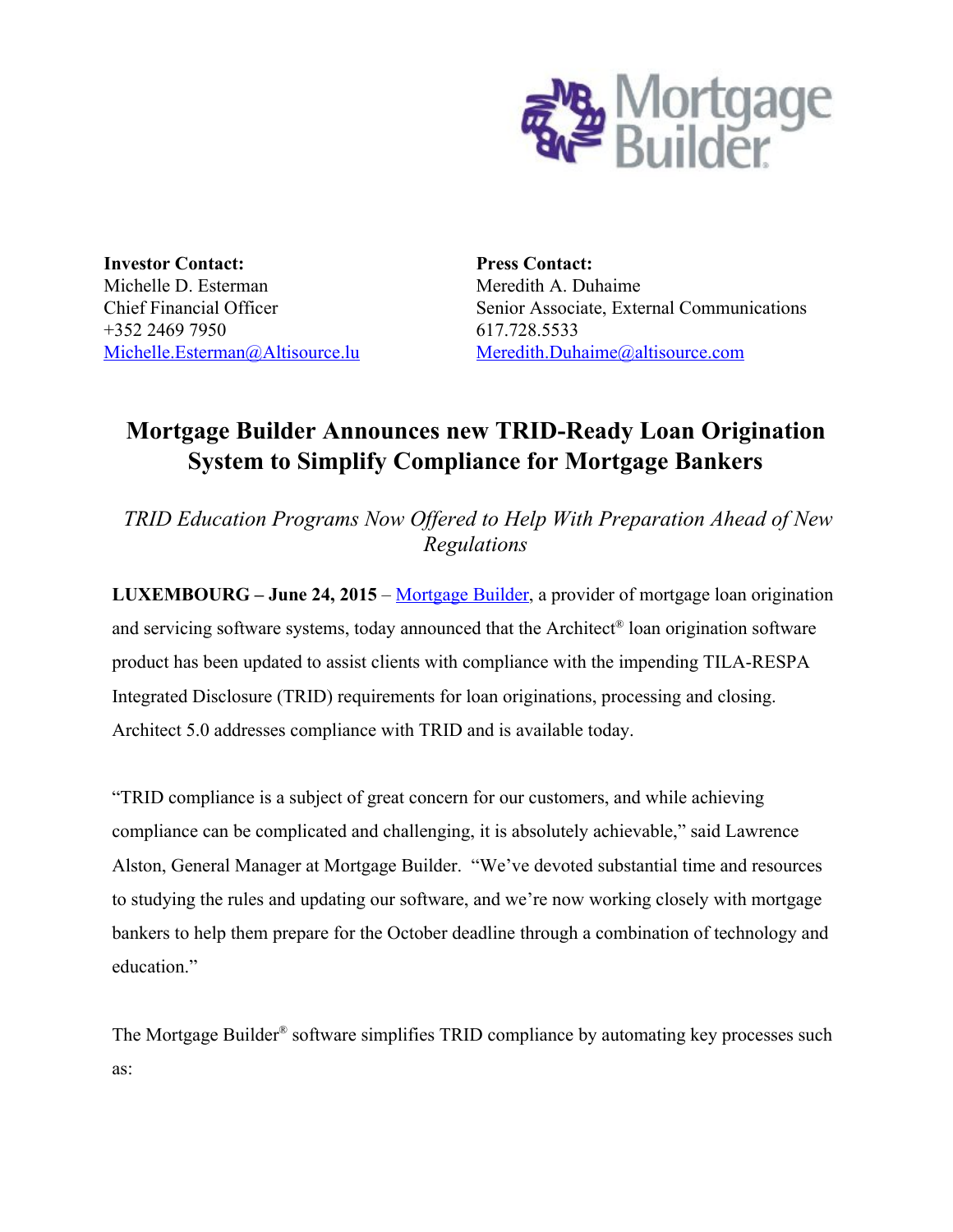

**Investor Contact:** Michelle D. Esterman Chief Financial Officer +352 2469 7950 [Michelle.Esterman@Altisource.lu](mailto:Michelle.Esterman@Altisource.lu)

**Press Contact:** Meredith A. Duhaime Senior Associate, External Communications 617.728.5533 [Meredith.Duhaime@altisource.com](mailto:Meredith.Duhaime@altisource.com)

# **Mortgage Builder Announces new TRID-Ready Loan Origination System to Simplify Compliance for Mortgage Bankers**

*TRID Education Programs Now Of ered to Help With Preparation Ahead of New Regulations*

**LUXEMBOURG –June 24, 2015**– [Mortgage](http://www.mortgagebuilder.com/) Builder, a provider of mortgage loan origination and servicing software systems, today announced that the Architect ® loan origination software product has been updated to assist clients with compliance with the impending TILA-RESPA Integrated Disclosure (TRID) requirements for loan originations, processing and closing. Architect 5.0 addresses compliance with TRID and is available today.

"TRID compliance is a subject of great concern for our customers, and while achieving compliance can be complicated and challenging, it is absolutely achievable," said Lawrence Alston, General Manager at Mortgage Builder. "We've devoted substantial time and resources to studying the rules and updating our software, and we're now working closely with mortgage bankers to help them prepare for the October deadline through a combination of technology and education."

The Mortgage Builder<sup>®</sup> software simplifies TRID compliance by automating key processes such as: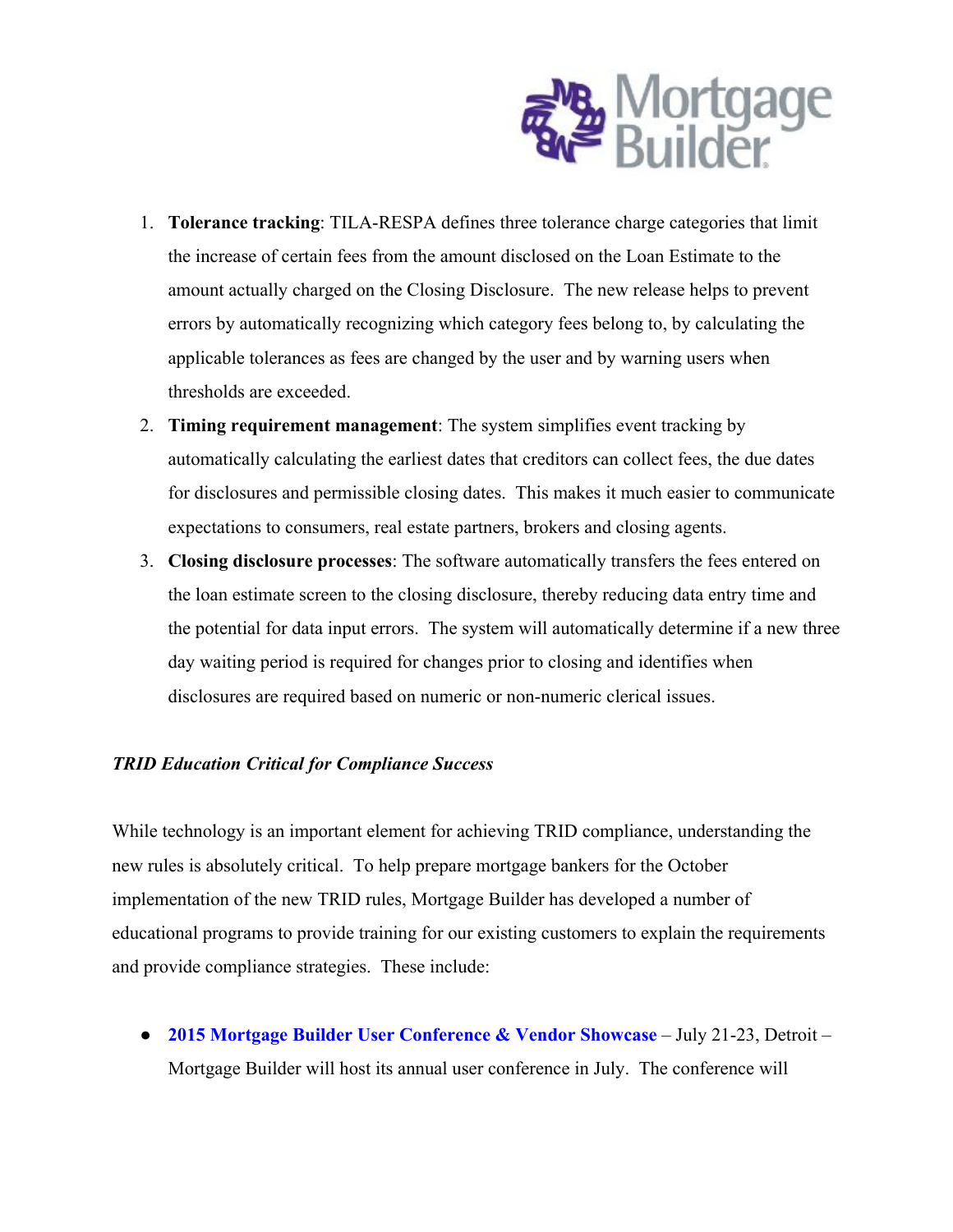

- 1. **Tolerance tracking**: TILA-RESPA defines three tolerance charge categories that limit the increase of certain fees from the amount disclosed on the Loan Estimate to the amount actually charged on the Closing Disclosure. The new release helps to prevent errors by automatically recognizing which category fees belong to, by calculating the applicable tolerances as fees are changed by the user and by warning users when thresholds are exceeded.
- 2. **Timing requirement management**: The system simplifies event tracking by automatically calculating the earliest dates that creditors can collect fees, the due dates for disclosures and permissible closing dates. This makes it much easier to communicate expectations to consumers, real estate partners, brokers and closing agents.
- 3. **Closing disclosure processes**: The software automatically transfers the fees entered on the loan estimate screen to the closing disclosure, thereby reducing data entry time and the potential for data input errors. The system will automatically determine if a new three day waiting period is required for changes prior to closing and identifies when disclosures are required based on numeric or non-numeric clerical issues.

#### *TRID Education Critical for Compliance Success*

While technology is an important element for achieving TRID compliance, understanding the new rules is absolutely critical. To help prepare mortgage bankers for the October implementation of the new TRID rules, Mortgage Builder has developed a number of educational programs to provide training for our existing customers to explain the requirements and provide compliance strategies. These include:

**• 2015 Mortgage Builder User [Conference](https://www.mortgagebuilder.com/news-a-events/events.html) & Vendor Showcase – July 21-23, Detroit –** Mortgage Builder will host its annual user conference in July. The conference will